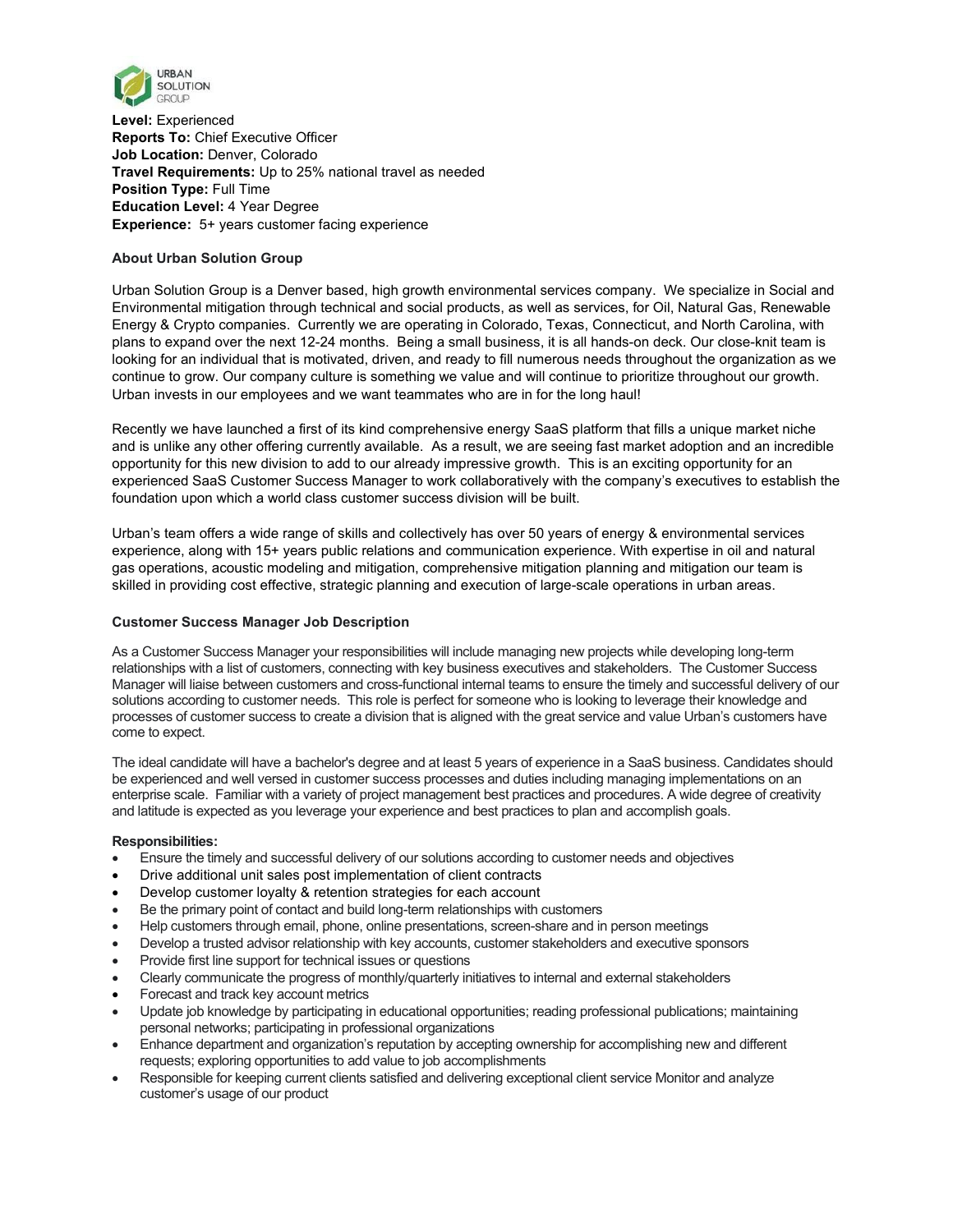

**Level:** Experienced **Reports To:** Chief Executive Officer **Job Location:** Denver, Colorado **Travel Requirements:** Up to 25% national travel as needed **Position Type:** Full Time **Education Level:** 4 Year Degree **Experience:** 5+ years customer facing experience

# **About Urban Solution Group**

Urban Solution Group is a Denver based, high growth environmental services company. We specialize in Social and Environmental mitigation through technical and social products, as well as services, for Oil, Natural Gas, Renewable Energy & Crypto companies. Currently we are operating in Colorado, Texas, Connecticut, and North Carolina, with plans to expand over the next 12-24 months. Being a small business, it is all hands-on deck. Our close-knit team is looking for an individual that is motivated, driven, and ready to fill numerous needs throughout the organization as we continue to grow. Our company culture is something we value and will continue to prioritize throughout our growth. Urban invests in our employees and we want teammates who are in for the long haul!

Recently we have launched a first of its kind comprehensive energy SaaS platform that fills a unique market niche and is unlike any other offering currently available. As a result, we are seeing fast market adoption and an incredible opportunity for this new division to add to our already impressive growth. This is an exciting opportunity for an experienced SaaS Customer Success Manager to work collaboratively with the company's executives to establish the foundation upon which a world class customer success division will be built.

Urban's team offers a wide range of skills and collectively has over 50 years of energy & environmental services experience, along with 15+ years public relations and communication experience. With expertise in oil and natural gas operations, acoustic modeling and mitigation, comprehensive mitigation planning and mitigation our team is skilled in providing cost effective, strategic planning and execution of large-scale operations in urban areas.

# **Customer Success Manager Job Description**

As a Customer Success Manager your responsibilities will include managing new projects while developing long-term relationships with a list of customers, connecting with key business executives and stakeholders. The Customer Success Manager will liaise between customers and cross-functional internal teams to ensure the timely and successful delivery of our solutions according to customer needs. This role is perfect for someone who is looking to leverage their knowledge and processes of customer success to create a division that is aligned with the great service and value Urban's customers have come to expect.

The ideal candidate will have a bachelor's degree and at least 5 years of experience in a SaaS business. Candidates should be experienced and well versed in customer success processes and duties including managing implementations on an enterprise scale. Familiar with a variety of project management best practices and procedures. A wide degree of creativity and latitude is expected as you leverage your experience and best practices to plan and accomplish goals.

# **Responsibilities:**

- Ensure the timely and successful delivery of our solutions according to customer needs and objectives
- Drive additional unit sales post implementation of client contracts
- Develop customer loyalty & retention strategies for each account
- Be the primary point of contact and build long-term relationships with customers
- Help customers through email, phone, online presentations, screen-share and in person meetings
- Develop a trusted advisor relationship with key accounts, customer stakeholders and executive sponsors
- Provide first line support for technical issues or questions
- Clearly communicate the progress of monthly/quarterly initiatives to internal and external stakeholders
- Forecast and track key account metrics
- Update job knowledge by participating in educational opportunities; reading professional publications; maintaining personal networks; participating in professional organizations
- Enhance department and organization's reputation by accepting ownership for accomplishing new and different requests; exploring opportunities to add value to job accomplishments
- Responsible for keeping current clients satisfied and delivering exceptional client service Monitor and analyze customer's usage of our product